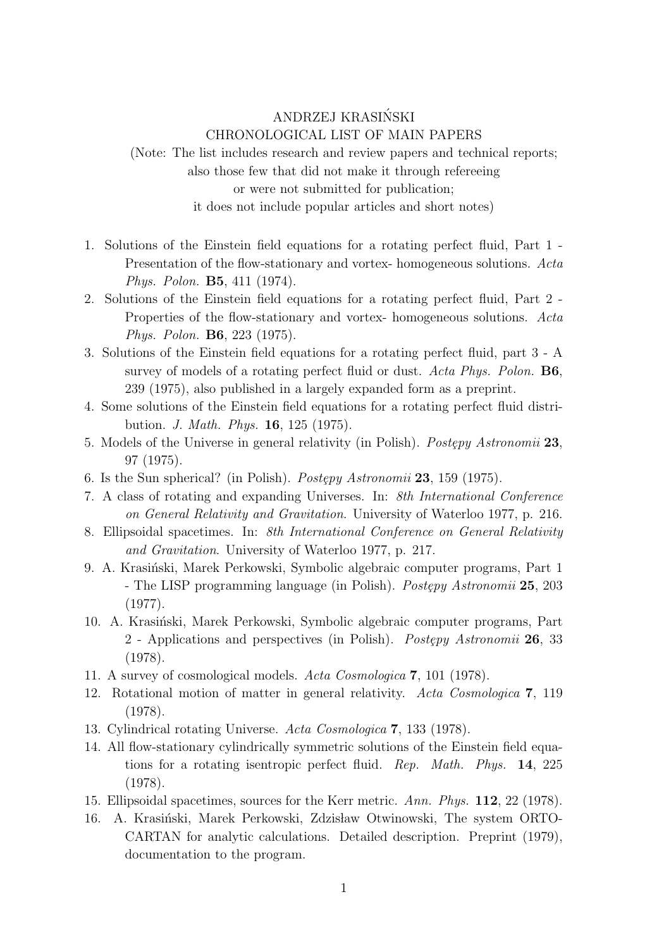## ANDRZEJ KRASINSKI ´ CHRONOLOGICAL LIST OF MAIN PAPERS

(Note: The list includes research and review papers and technical reports; also those few that did not make it through refereeing or were not submitted for publication; it does not include popular articles and short notes)

- 1. Solutions of the Einstein field equations for a rotating perfect fluid, Part 1 Presentation of the flow-stationary and vortex- homogeneous solutions. *Acta Phys. Polon.* **B5**, 411 (1974).
- 2. Solutions of the Einstein field equations for a rotating perfect fluid, Part 2 Properties of the flow-stationary and vortex- homogeneous solutions. *Acta Phys. Polon.* **B6**, 223 (1975).
- 3. Solutions of the Einstein field equations for a rotating perfect fluid, part 3 A survey of models of a rotating perfect fluid or dust. *Acta Phys. Polon.* **B6**, 239 (1975), also published in a largely expanded form as a preprint.
- 4. Some solutions of the Einstein field equations for a rotating perfect fluid distribution. *J. Math. Phys.* **16**, 125 (1975).
- 5. Models of the Universe in general relativity (in Polish). *Postępy Astronomii* 23, 97 (1975).
- 6. Is the Sun spherical? (in Polish). *Postępy Astronomii* 23, 159 (1975).
- 7. A class of rotating and expanding Universes. In: *8th International Conference on General Relativity and Gravitation*. University of Waterloo 1977, p. 216.
- 8. Ellipsoidal spacetimes. In: *8th International Conference on General Relativity and Gravitation*. University of Waterloo 1977, p. 217.
- 9. A. Krasiński, Marek Perkowski, Symbolic algebraic computer programs, Part 1 - The LISP programming language (in Polish). *Postepy Astronomii* 25, 203 (1977).
- 10. A. Krasiński, Marek Perkowski, Symbolic algebraic computer programs, Part 2 - Applications and perspectives (in Polish). *Postępy Astronomii* 26, 33 (1978).
- 11. A survey of cosmological models. *Acta Cosmologica* **7**, 101 (1978).
- 12. Rotational motion of matter in general relativity. *Acta Cosmologica* **7**, 119 (1978).
- 13. Cylindrical rotating Universe. *Acta Cosmologica* **7**, 133 (1978).
- 14. All flow-stationary cylindrically symmetric solutions of the Einstein field equations for a rotating isentropic perfect fluid. *Rep. Math. Phys.* **14**, 225 (1978).
- 15. Ellipsoidal spacetimes, sources for the Kerr metric. *Ann. Phys.* **112**, 22 (1978).
- 16. A. Krasiński, Marek Perkowski, Zdzisław Otwinowski, The system ORTO-CARTAN for analytic calculations. Detailed description. Preprint (1979), documentation to the program.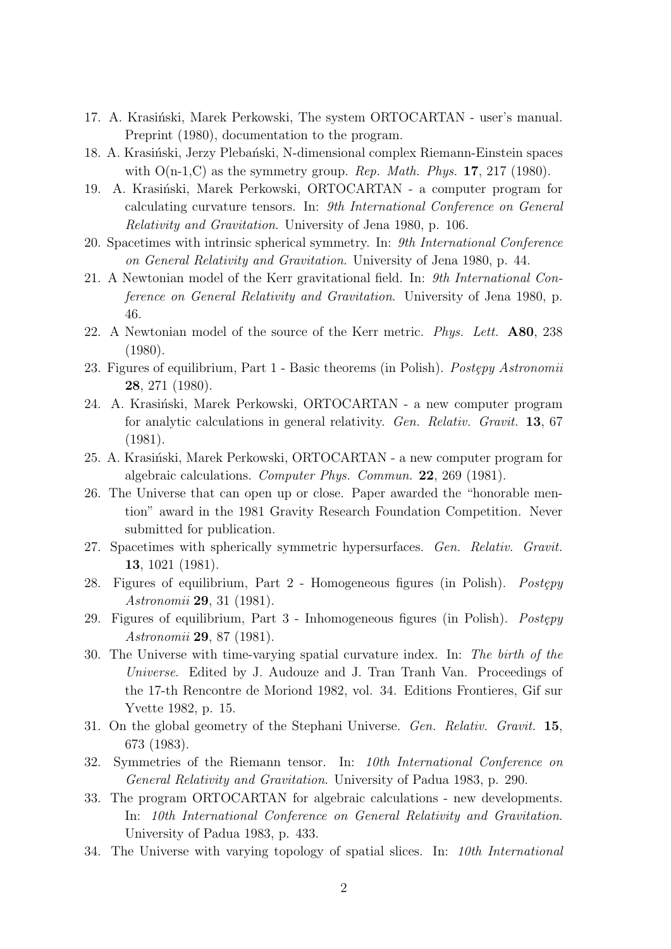- 17. A. Krasiński, Marek Perkowski, The system ORTOCARTAN user's manual. Preprint (1980), documentation to the program.
- 18. A. Krasiński, Jerzy Plebański, N-dimensional complex Riemann-Einstein spaces with  $O(n-1,C)$  as the symmetry group. *Rep. Math. Phys.* **17**, 217 (1980).
- 19. A. Krasiński, Marek Perkowski, ORTOCARTAN a computer program for calculating curvature tensors. In: *9th International Conference on General Relativity and Gravitation*. University of Jena 1980, p. 106.
- 20. Spacetimes with intrinsic spherical symmetry. In: *9th International Conference on General Relativity and Gravitation*. University of Jena 1980, p. 44.
- 21. A Newtonian model of the Kerr gravitational field. In: *9th International Conference on General Relativity and Gravitation*. University of Jena 1980, p. 46.
- 22. A Newtonian model of the source of the Kerr metric. *Phys. Lett.* **A80**, 238 (1980).
- 23. Figures of equilibrium, Part 1 Basic theorems (in Polish). *Postępy Astronomii* **28**, 271 (1980).
- 24. A. Krasiński, Marek Perkowski, ORTOCARTAN a new computer program for analytic calculations in general relativity. *Gen. Relativ. Gravit.* **13**, 67 (1981).
- 25. A. Krasiński, Marek Perkowski, ORTOCARTAN a new computer program for algebraic calculations. *Computer Phys. Commun.* **22**, 269 (1981).
- 26. The Universe that can open up or close. Paper awarded the "honorable mention" award in the 1981 Gravity Research Foundation Competition. Never submitted for publication.
- 27. Spacetimes with spherically symmetric hypersurfaces. *Gen. Relativ. Gravit.* **13**, 1021 (1981).
- 28. Figures of equilibrium, Part 2 Homogeneous figures (in Polish). *Postępy Astronomii* **29**, 31 (1981).
- 29. Figures of equilibrium, Part 3 Inhomogeneous figures (in Polish). *Postepy Astronomii* **29**, 87 (1981).
- 30. The Universe with time-varying spatial curvature index. In: *The birth of the Universe*. Edited by J. Audouze and J. Tran Tranh Van. Proceedings of the 17-th Rencontre de Moriond 1982, vol. 34. Editions Frontieres, Gif sur Yvette 1982, p. 15.
- 31. On the global geometry of the Stephani Universe. *Gen. Relativ. Gravit.* **15**, 673 (1983).
- 32. Symmetries of the Riemann tensor. In: *10th International Conference on General Relativity and Gravitation*. University of Padua 1983, p. 290.
- 33. The program ORTOCARTAN for algebraic calculations new developments. In: *10th International Conference on General Relativity and Gravitation*. University of Padua 1983, p. 433.
- 34. The Universe with varying topology of spatial slices. In: *10th International*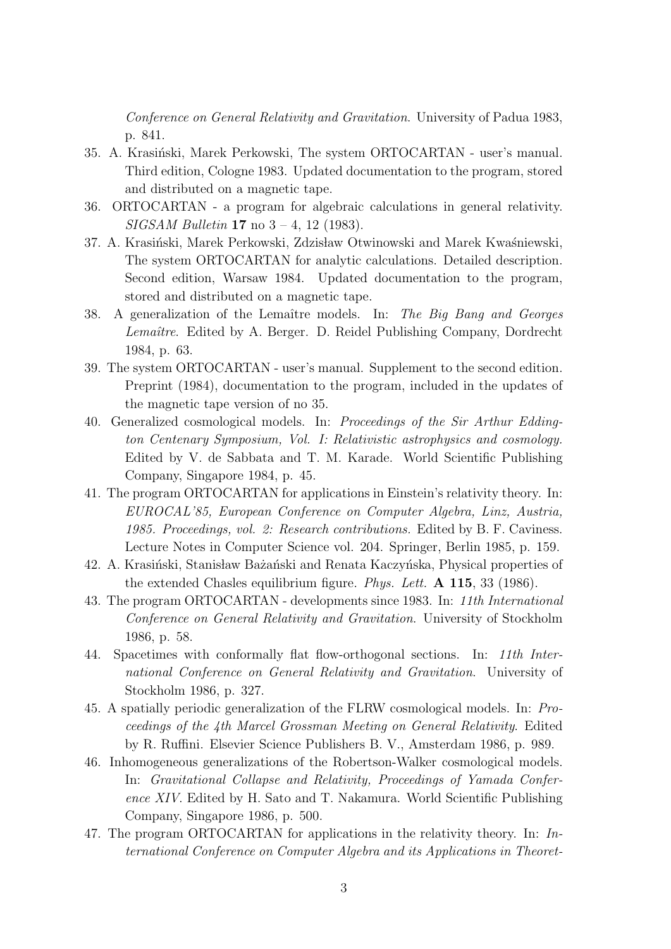*Conference on General Relativity and Gravitation*. University of Padua 1983, p. 841.

- 35. A. Krasiński, Marek Perkowski, The system ORTOCARTAN user's manual. Third edition, Cologne 1983. Updated documentation to the program, stored and distributed on a magnetic tape.
- 36. ORTOCARTAN a program for algebraic calculations in general relativity. *SIGSAM Bulletin* **17** no 3 – 4, 12 (1983).
- 37. A. Krasiński, Marek Perkowski, Zdzisław Otwinowski and Marek Kwaśniewski, The system ORTOCARTAN for analytic calculations. Detailed description. Second edition, Warsaw 1984. Updated documentation to the program, stored and distributed on a magnetic tape.
- 38. A generalization of the Lemaˆıtre models. In: *The Big Bang and Georges Lemaˆıtre*. Edited by A. Berger. D. Reidel Publishing Company, Dordrecht 1984, p. 63.
- 39. The system ORTOCARTAN user's manual. Supplement to the second edition. Preprint (1984), documentation to the program, included in the updates of the magnetic tape version of no 35.
- 40. Generalized cosmological models. In: *Proceedings of the Sir Arthur Eddington Centenary Symposium, Vol. I: Relativistic astrophysics and cosmology.* Edited by V. de Sabbata and T. M. Karade. World Scientific Publishing Company, Singapore 1984, p. 45.
- 41. The program ORTOCARTAN for applications in Einstein's relativity theory. In: *EUROCAL'85, European Conference on Computer Algebra, Linz, Austria, 1985. Proceedings, vol. 2: Research contributions.* Edited by B. F. Caviness. Lecture Notes in Computer Science vol. 204. Springer, Berlin 1985, p. 159.
- 42. A. Krasiński, Stanisław Bażański and Renata Kaczyńska, Physical properties of the extended Chasles equilibrium figure. *Phys. Lett.* **A 115**, 33 (1986).
- 43. The program ORTOCARTAN developments since 1983. In: *11th International Conference on General Relativity and Gravitation*. University of Stockholm 1986, p. 58.
- 44. Spacetimes with conformally flat flow-orthogonal sections. In: *11th International Conference on General Relativity and Gravitation*. University of Stockholm 1986, p. 327.
- 45. A spatially periodic generalization of the FLRW cosmological models. In: *Proceedings of the 4th Marcel Grossman Meeting on General Relativity*. Edited by R. Ruffini. Elsevier Science Publishers B. V., Amsterdam 1986, p. 989.
- 46. Inhomogeneous generalizations of the Robertson-Walker cosmological models. In: *Gravitational Collapse and Relativity, Proceedings of Yamada Conference XIV*. Edited by H. Sato and T. Nakamura. World Scientific Publishing Company, Singapore 1986, p. 500.
- 47. The program ORTOCARTAN for applications in the relativity theory. In: *International Conference on Computer Algebra and its Applications in Theoret-*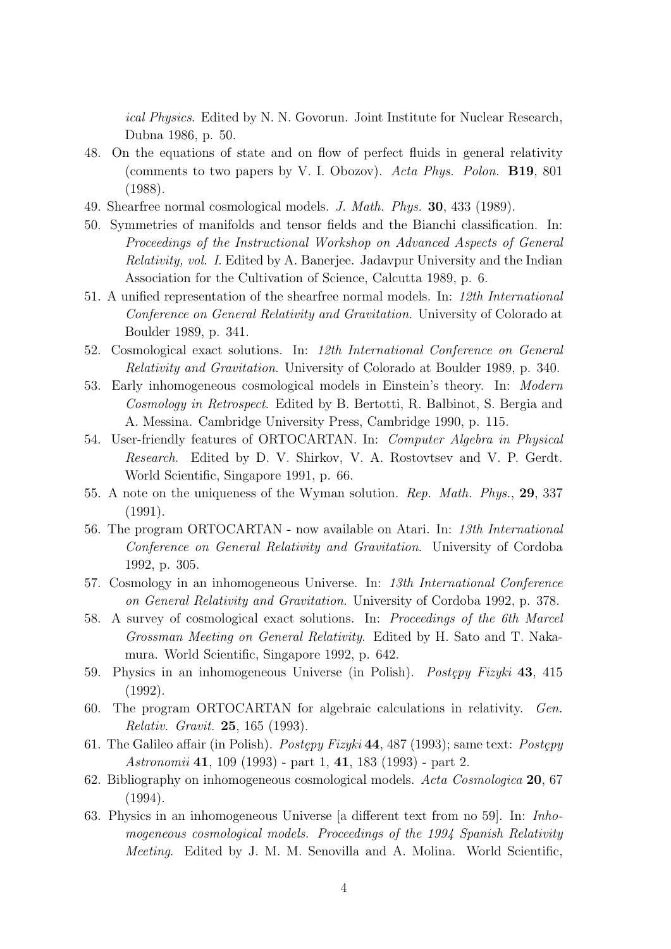*ical Physics*. Edited by N. N. Govorun. Joint Institute for Nuclear Research, Dubna 1986, p. 50.

- 48. On the equations of state and on flow of perfect fluids in general relativity (comments to two papers by V. I. Obozov). *Acta Phys. Polon.* **B19**, 801 (1988).
- 49. Shearfree normal cosmological models. *J. Math. Phys.* **30**, 433 (1989).
- 50. Symmetries of manifolds and tensor fields and the Bianchi classification. In: *Proceedings of the Instructional Workshop on Advanced Aspects of General Relativity, vol. I*. Edited by A. Banerjee. Jadavpur University and the Indian Association for the Cultivation of Science, Calcutta 1989, p. 6.
- 51. A unified representation of the shearfree normal models. In: *12th International Conference on General Relativity and Gravitation*. University of Colorado at Boulder 1989, p. 341.
- 52. Cosmological exact solutions. In: *12th International Conference on General Relativity and Gravitation*. University of Colorado at Boulder 1989, p. 340.
- 53. Early inhomogeneous cosmological models in Einstein's theory. In: *Modern Cosmology in Retrospect*. Edited by B. Bertotti, R. Balbinot, S. Bergia and A. Messina. Cambridge University Press, Cambridge 1990, p. 115.
- 54. User-friendly features of ORTOCARTAN. In: *Computer Algebra in Physical Research*. Edited by D. V. Shirkov, V. A. Rostovtsev and V. P. Gerdt. World Scientific, Singapore 1991, p. 66.
- 55. A note on the uniqueness of the Wyman solution. *Rep. Math. Phys.*, **29**, 337 (1991).
- 56. The program ORTOCARTAN now available on Atari. In: *13th International Conference on General Relativity and Gravitation*. University of Cordoba 1992, p. 305.
- 57. Cosmology in an inhomogeneous Universe. In: *13th International Conference on General Relativity and Gravitation*. University of Cordoba 1992, p. 378.
- 58. A survey of cosmological exact solutions. In: *Proceedings of the 6th Marcel Grossman Meeting on General Relativity*. Edited by H. Sato and T. Nakamura. World Scientific, Singapore 1992, p. 642.
- 59. Physics in an inhomogeneous Universe (in Polish). *Postepy Fizyki* 43, 415 (1992).
- 60. The program ORTOCARTAN for algebraic calculations in relativity. *Gen. Relativ. Gravit.* **25**, 165 (1993).
- 61. The Galileo affair (in Polish). *Postępy Fizyki* 44, 487 (1993); same text: *Postępy Astronomii* **41**, 109 (1993) - part 1, **41**, 183 (1993) - part 2.
- 62. Bibliography on inhomogeneous cosmological models. *Acta Cosmologica* **20**, 67 (1994).
- 63. Physics in an inhomogeneous Universe [a different text from no 59]. In: *Inhomogeneous cosmological models. Proceedings of the 1994 Spanish Relativity Meeting*. Edited by J. M. M. Senovilla and A. Molina. World Scientific,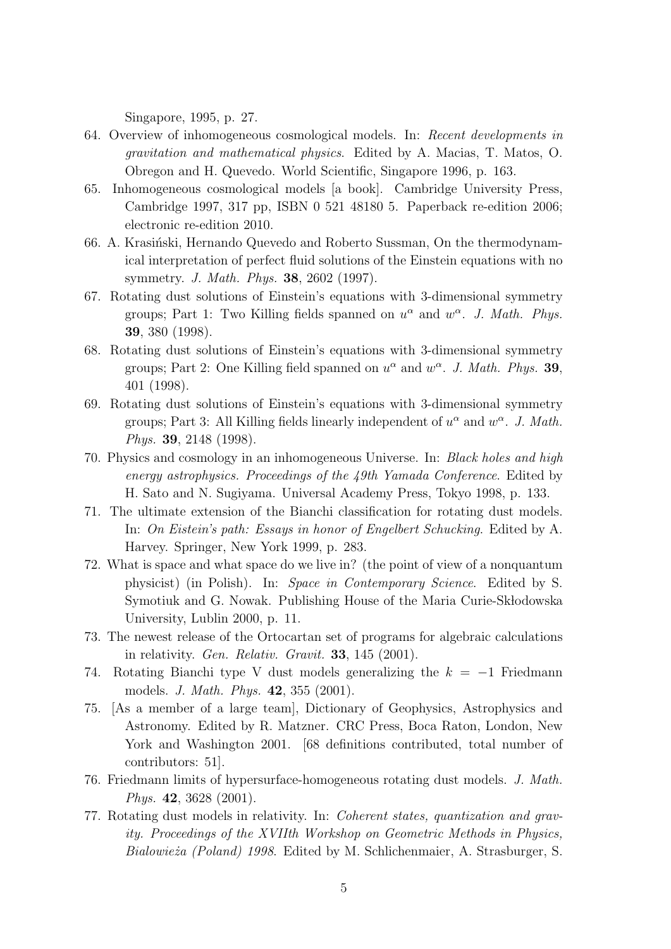Singapore, 1995, p. 27.

- 64. Overview of inhomogeneous cosmological models. In: *Recent developments in gravitation and mathematical physics*. Edited by A. Macias, T. Matos, O. Obregon and H. Quevedo. World Scientific, Singapore 1996, p. 163.
- 65. Inhomogeneous cosmological models [a book]. Cambridge University Press, Cambridge 1997, 317 pp, ISBN 0 521 48180 5. Paperback re-edition 2006; electronic re-edition 2010.
- 66. A. Krasiński, Hernando Quevedo and Roberto Sussman, On the thermodynamical interpretation of perfect fluid solutions of the Einstein equations with no symmetry. *J. Math. Phys.* **38**, 2602 (1997).
- 67. Rotating dust solutions of Einstein's equations with 3-dimensional symmetry groups; Part 1: Two Killing fields spanned on  $u^{\alpha}$  and  $w^{\alpha}$ . *J. Math. Phys.* **39**, 380 (1998).
- 68. Rotating dust solutions of Einstein's equations with 3-dimensional symmetry groups; Part 2: One Killing field spanned on  $u^{\alpha}$  and  $w^{\alpha}$ . *J. Math. Phys.* **39**, 401 (1998).
- 69. Rotating dust solutions of Einstein's equations with 3-dimensional symmetry groups; Part 3: All Killing fields linearly independent of  $u^{\alpha}$  and  $w^{\alpha}$ . *J. Math. Phys.* **39**, 2148 (1998).
- 70. Physics and cosmology in an inhomogeneous Universe. In: *Black holes and high energy astrophysics. Proceedings of the 49th Yamada Conference*. Edited by H. Sato and N. Sugiyama. Universal Academy Press, Tokyo 1998, p. 133.
- 71. The ultimate extension of the Bianchi classification for rotating dust models. In: *On Eistein's path: Essays in honor of Engelbert Schucking*. Edited by A. Harvey. Springer, New York 1999, p. 283.
- 72. What is space and what space do we live in? (the point of view of a nonquantum physicist) (in Polish). In: *Space in Contemporary Science*. Edited by S. Symotiuk and G. Nowak. Publishing House of the Maria Curie-Sk lodowska University, Lublin 2000, p. 11.
- 73. The newest release of the Ortocartan set of programs for algebraic calculations in relativity. *Gen. Relativ. Gravit.* **33**, 145 (2001).
- 74. Rotating Bianchi type V dust models generalizing the *k* = *−*1 Friedmann models. *J. Math. Phys.* **42**, 355 (2001).
- 75. [As a member of a large team], Dictionary of Geophysics, Astrophysics and Astronomy. Edited by R. Matzner. CRC Press, Boca Raton, London, New York and Washington 2001. [68 definitions contributed, total number of contributors: 51].
- 76. Friedmann limits of hypersurface-homogeneous rotating dust models. *J. Math. Phys.* **42**, 3628 (2001).
- 77. Rotating dust models in relativity. In: *Coherent states, quantization and gravity. Proceedings of the XVIIth Workshop on Geometric Methods in Physics, Bialowie˙za (Poland) 1998*. Edited by M. Schlichenmaier, A. Strasburger, S.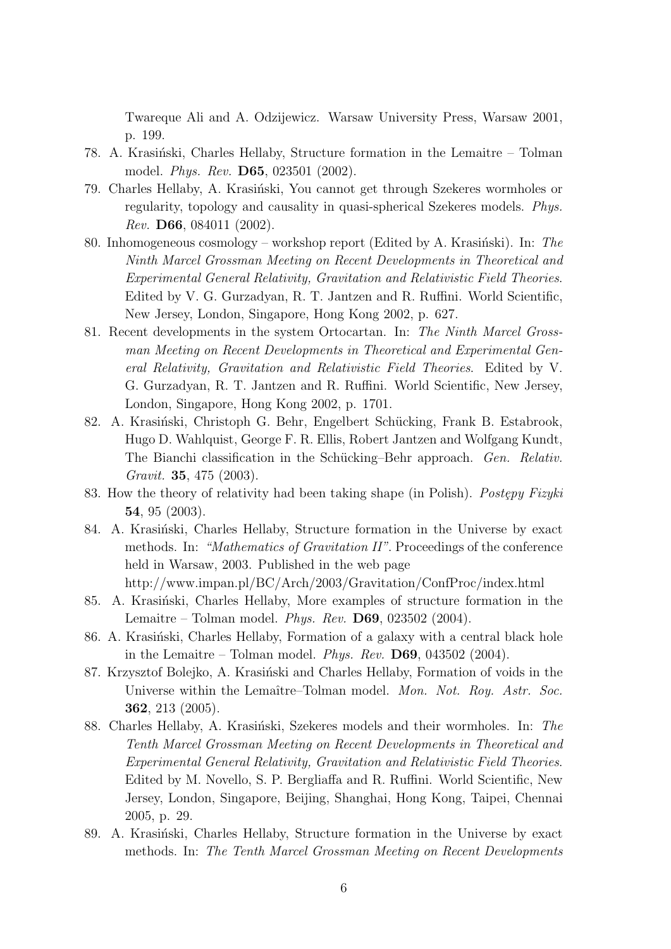Twareque Ali and A. Odzijewicz. Warsaw University Press, Warsaw 2001, p. 199.

- 78. A. Krasiński, Charles Hellaby, Structure formation in the Lemaitre Tolman model. *Phys. Rev.* **D65**, 023501 (2002).
- 79. Charles Hellaby, A. Krasiński, You cannot get through Szekeres wormholes or regularity, topology and causality in quasi-spherical Szekeres models. *Phys. Rev.* **D66**, 084011 (2002).
- 80. Inhomogeneous cosmology workshop report (Edited by A. Krasiński). In: *The Ninth Marcel Grossman Meeting on Recent Developments in Theoretical and Experimental General Relativity, Gravitation and Relativistic Field Theories*. Edited by V. G. Gurzadyan, R. T. Jantzen and R. Ruffini. World Scientific, New Jersey, London, Singapore, Hong Kong 2002, p. 627.
- 81. Recent developments in the system Ortocartan. In: *The Ninth Marcel Grossman Meeting on Recent Developments in Theoretical and Experimental General Relativity, Gravitation and Relativistic Field Theories*. Edited by V. G. Gurzadyan, R. T. Jantzen and R. Ruffini. World Scientific, New Jersey, London, Singapore, Hong Kong 2002, p. 1701.
- 82. A. Krasiński, Christoph G. Behr, Engelbert Schücking, Frank B. Estabrook, Hugo D. Wahlquist, George F. R. Ellis, Robert Jantzen and Wolfgang Kundt, The Bianchi classification in the Schücking–Behr approach. *Gen. Relativ. Gravit.* **35**, 475 (2003).
- 83. How the theory of relativity had been taking shape (in Polish). *Postepy Fizyki* **54**, 95 (2003).
- 84. A. Krasiński, Charles Hellaby, Structure formation in the Universe by exact methods. In: *"Mathematics of Gravitation II"*. Proceedings of the conference held in Warsaw, 2003. Published in the web page http://www.impan.pl/BC/Arch/2003/Gravitation/ConfProc/index.html
- 85. A. Krasiński, Charles Hellaby, More examples of structure formation in the Lemaitre – Tolman model. *Phys. Rev.* **D69**, 023502 (2004).
- 86. A. Krasiński, Charles Hellaby, Formation of a galaxy with a central black hole in the Lemaitre – Tolman model. *Phys. Rev.* **D69**, 043502 (2004).
- 87. Krzysztof Bolejko, A. Krasiński and Charles Hellaby, Formation of voids in the Universe within the Lemaître–Tolman model. *Mon. Not. Roy. Astr. Soc.* **362**, 213 (2005).
- 88. Charles Hellaby, A. Krasiński, Szekeres models and their wormholes. In: The *Tenth Marcel Grossman Meeting on Recent Developments in Theoretical and Experimental General Relativity, Gravitation and Relativistic Field Theories*. Edited by M. Novello, S. P. Bergliaffa and R. Ruffini. World Scientific, New Jersey, London, Singapore, Beijing, Shanghai, Hong Kong, Taipei, Chennai 2005, p. 29.
- 89. A. Krasiński, Charles Hellaby, Structure formation in the Universe by exact methods. In: *The Tenth Marcel Grossman Meeting on Recent Developments*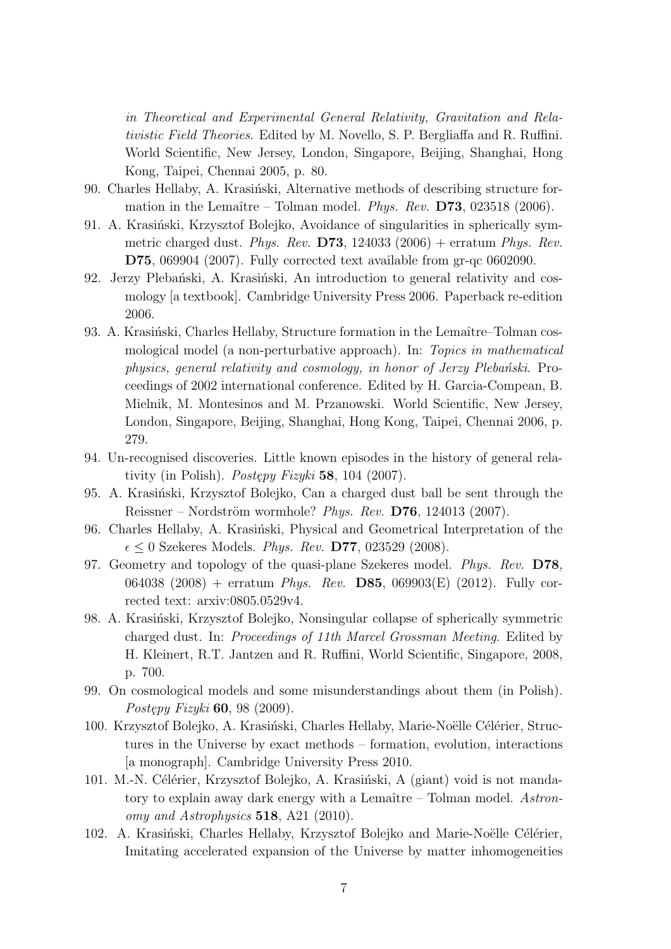*in Theoretical and Experimental General Relativity, Gravitation and Relativistic Field Theories*. Edited by M. Novello, S. P. Bergliaffa and R. Ruffini. World Scientific, New Jersey, London, Singapore, Beijing, Shanghai, Hong Kong, Taipei, Chennai 2005, p. 80.

- 90. Charles Hellaby, A. Krasiński, Alternative methods of describing structure formation in the Lemaître – Tolman model. *Phys. Rev.* **D73**, 023518 (2006).
- 91. A. Krasiński, Krzysztof Bolejko, Avoidance of singularities in spherically symmetric charged dust. *Phys. Rev.* **D73**, 124033 (2006) + erratum *Phys. Rev.* **D75**, 069904 (2007). Fully corrected text available from gr-qc 0602090.
- 92. Jerzy Plebański, A. Krasiński, An introduction to general relativity and cosmology [a textbook]. Cambridge University Press 2006. Paperback re-edition 2006.
- 93. A. Krasiński, Charles Hellaby, Structure formation in the Lemaître–Tolman cosmological model (a non-perturbative approach). In: *Topics in mathematical physics, general relativity and cosmology, in honor of Jerzy Plebański.* Proceedings of 2002 international conference. Edited by H. Garcia-Compean, B. Mielnik, M. Montesinos and M. Przanowski. World Scientific, New Jersey, London, Singapore, Beijing, Shanghai, Hong Kong, Taipei, Chennai 2006, p. 279.
- 94. Un-recognised discoveries. Little known episodes in the history of general relativity (in Polish). *Postępy Fizyki* **58**, 104 (2007).
- 95. A. Krasiński, Krzysztof Bolejko, Can a charged dust ball be sent through the Reissner – Nordström wormhole? *Phys. Rev.* **D76**, 124013 (2007).
- 96. Charles Hellaby, A. Krasiński, Physical and Geometrical Interpretation of the *ϵ ≤* 0 Szekeres Models. *Phys. Rev.* **D77**, 023529 (2008).
- 97. Geometry and topology of the quasi-plane Szekeres model. *Phys. Rev.* **D78**, 064038 (2008) + erratum *Phys. Rev.* **D85**, 069903(E) (2012). Fully corrected text: arxiv:0805.0529v4.
- 98. A. Krasiński, Krzysztof Bolejko, Nonsingular collapse of spherically symmetric charged dust. In: *Proceedings of 11th Marcel Grossman Meeting*. Edited by H. Kleinert, R.T. Jantzen and R. Ruffini, World Scientific, Singapore, 2008, p. 700.
- 99. On cosmological models and some misunderstandings about them (in Polish). *Postępy Fizyki* **60**, 98 (2009).
- 100. Krzysztof Bolejko, A. Krasiński, Charles Hellaby, Marie-Noëlle Célérier, Structures in the Universe by exact methods – formation, evolution, interactions [a monograph]. Cambridge University Press 2010.
- 101. M.-N. Célérier, Krzysztof Bolejko, A. Krasiński, A (giant) void is not mandatory to explain away dark energy with a Lemaître – Tolman model. Astron*omy and Astrophysics* **518**, A21 (2010).
- 102. A. Krasiński, Charles Hellaby, Krzysztof Bolejko and Marie-Noëlle Célérier, Imitating accelerated expansion of the Universe by matter inhomogeneities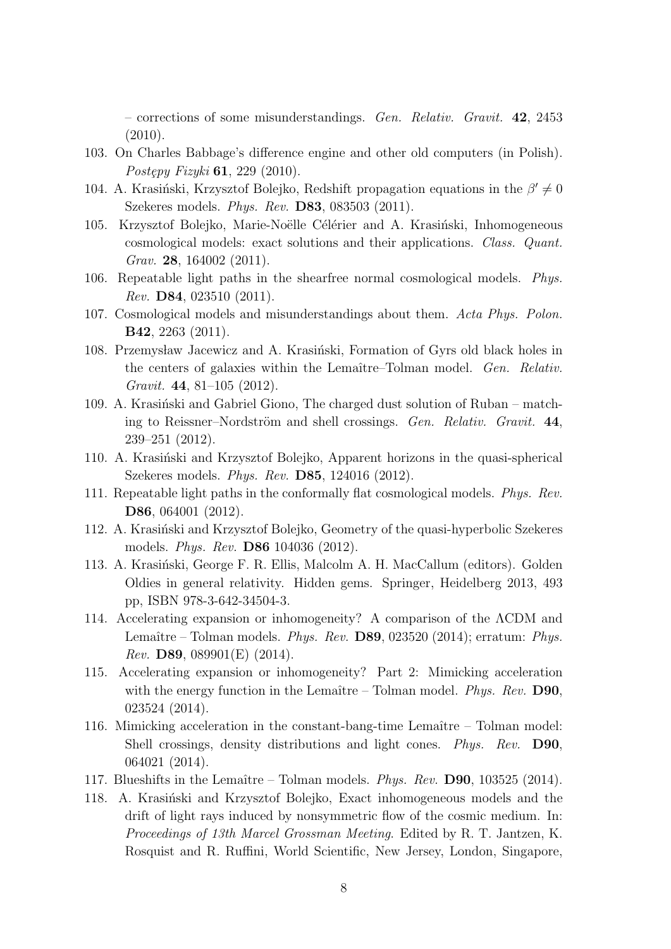– corrections of some misunderstandings. *Gen. Relativ. Gravit.* **42**, 2453 (2010).

- 103. On Charles Babbage's difference engine and other old computers (in Polish). *Postępy Fizyki* **61**, 229 (2010).
- 104. A. Krasiński, Krzysztof Bolejko, Redshift propagation equations in the *β'* ≠ 0 Szekeres models. *Phys. Rev.* **D83**, 083503 (2011).
- 105. Krzysztof Bolejko, Marie-Noëlle Célérier and A. Krasiński, Inhomogeneous cosmological models: exact solutions and their applications. *Class. Quant. Grav.* **28**, 164002 (2011).
- 106. Repeatable light paths in the shearfree normal cosmological models. *Phys. Rev.* **D84**, 023510 (2011).
- 107. Cosmological models and misunderstandings about them. *Acta Phys. Polon.* **B42**, 2263 (2011).
- 108. Przemysław Jacewicz and A. Krasiński, Formation of Gyrs old black holes in the centers of galaxies within the Lemaˆıtre–Tolman model. *Gen. Relativ. Gravit.* **44**, 81–105 (2012).
- 109. A. Krasiński and Gabriel Giono, The charged dust solution of Ruban matching to Reissner–Nordström and shell crossings. *Gen. Relativ. Gravit.* 44, 239–251 (2012).
- 110. A. Krasiński and Krzysztof Bolejko, Apparent horizons in the quasi-spherical Szekeres models. *Phys. Rev.* **D85**, 124016 (2012).
- 111. Repeatable light paths in the conformally flat cosmological models. *Phys. Rev.* **D86**, 064001 (2012).
- 112. A. Krasiński and Krzysztof Bolejko, Geometry of the quasi-hyperbolic Szekeres models. *Phys. Rev.* **D86** 104036 (2012).
- 113. A. Krasiński, George F. R. Ellis, Malcolm A. H. MacCallum (editors). Golden Oldies in general relativity. Hidden gems. Springer, Heidelberg 2013, 493 pp, ISBN 978-3-642-34504-3.
- 114. Accelerating expansion or inhomogeneity? A comparison of the ΛCDM and Lemaître – Tolman models. *Phys. Rev.* **D89**, 023520 (2014); erratum: *Phys. Rev.* **D89**, 089901(E) (2014).
- 115. Accelerating expansion or inhomogeneity? Part 2: Mimicking acceleration with the energy function in the Lemaître – Tolman model. *Phys. Rev.* **D90**, 023524 (2014).
- 116. Mimicking acceleration in the constant-bang-time Lemaître Tolman model: Shell crossings, density distributions and light cones. *Phys. Rev.* **D90**, 064021 (2014).
- 117. Blueshifts in the Lemaˆıtre Tolman models. *Phys. Rev.* **D90**, 103525 (2014).
- 118. A. Krasiński and Krzysztof Bolejko, Exact inhomogeneous models and the drift of light rays induced by nonsymmetric flow of the cosmic medium. In: *Proceedings of 13th Marcel Grossman Meeting*. Edited by R. T. Jantzen, K. Rosquist and R. Ruffini, World Scientific, New Jersey, London, Singapore,